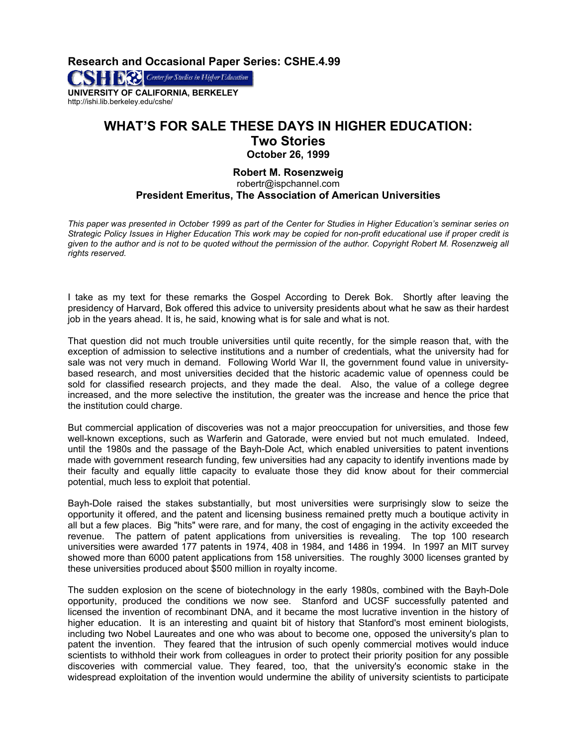**Research and Occasional Paper Series: CSHE.4.99** 

**SET DES** Center for Studies in Higher Education **UNIVERSITY OF CALIFORNIA, BERKELEY** 

http://ishi.lib.berkeley.edu/cshe/

## **WHAT'S FOR SALE THESE DAYS IN HIGHER EDUCATION: Two Stories October 26, 1999**

## **Robert M. Rosenzweig**  robertr@ispchannel.com **President Emeritus, The Association of American Universities**

*This paper was presented in October 1999 as part of the Center for Studies in Higher Education's seminar series on Strategic Policy Issues in Higher Education This work may be copied for non-profit educational use if proper credit is given to the author and is not to be quoted without the permission of the author. Copyright Robert M. Rosenzweig all rights reserved.* 

I take as my text for these remarks the Gospel According to Derek Bok. Shortly after leaving the presidency of Harvard, Bok offered this advice to university presidents about what he saw as their hardest job in the years ahead. It is, he said, knowing what is for sale and what is not.

That question did not much trouble universities until quite recently, for the simple reason that, with the exception of admission to selective institutions and a number of credentials, what the university had for sale was not very much in demand. Following World War II, the government found value in universitybased research, and most universities decided that the historic academic value of openness could be sold for classified research projects, and they made the deal. Also, the value of a college degree increased, and the more selective the institution, the greater was the increase and hence the price that the institution could charge.

But commercial application of discoveries was not a major preoccupation for universities, and those few well-known exceptions, such as Warferin and Gatorade, were envied but not much emulated. Indeed, until the 1980s and the passage of the Bayh-Dole Act, which enabled universities to patent inventions made with government research funding, few universities had any capacity to identify inventions made by their faculty and equally little capacity to evaluate those they did know about for their commercial potential, much less to exploit that potential.

Bayh-Dole raised the stakes substantially, but most universities were surprisingly slow to seize the opportunity it offered, and the patent and licensing business remained pretty much a boutique activity in all but a few places. Big "hits" were rare, and for many, the cost of engaging in the activity exceeded the revenue. The pattern of patent applications from universities is revealing. The top 100 research universities were awarded 177 patents in 1974, 408 in 1984, and 1486 in 1994. In 1997 an MIT survey showed more than 6000 patent applications from 158 universities. The roughly 3000 licenses granted by these universities produced about \$500 million in royalty income.

The sudden explosion on the scene of biotechnology in the early 1980s, combined with the Bayh-Dole opportunity, produced the conditions we now see. Stanford and UCSF successfully patented and licensed the invention of recombinant DNA, and it became the most lucrative invention in the history of higher education. It is an interesting and quaint bit of history that Stanford's most eminent biologists, including two Nobel Laureates and one who was about to become one, opposed the university's plan to patent the invention. They feared that the intrusion of such openly commercial motives would induce scientists to withhold their work from colleagues in order to protect their priority position for any possible discoveries with commercial value. They feared, too, that the university's economic stake in the widespread exploitation of the invention would undermine the ability of university scientists to participate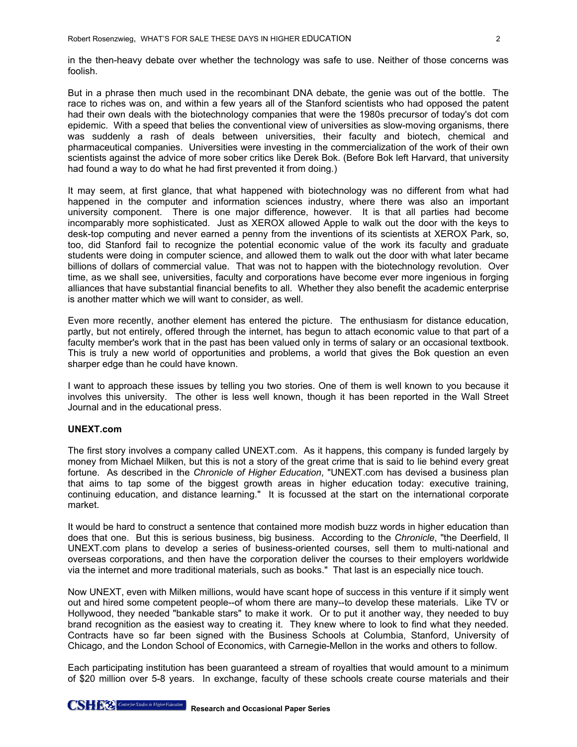in the then-heavy debate over whether the technology was safe to use. Neither of those concerns was foolish.

But in a phrase then much used in the recombinant DNA debate, the genie was out of the bottle. The race to riches was on, and within a few years all of the Stanford scientists who had opposed the patent had their own deals with the biotechnology companies that were the 1980s precursor of today's dot com epidemic. With a speed that belies the conventional view of universities as slow-moving organisms, there was suddenly a rash of deals between universities, their faculty and biotech, chemical and pharmaceutical companies. Universities were investing in the commercialization of the work of their own scientists against the advice of more sober critics like Derek Bok. (Before Bok left Harvard, that university had found a way to do what he had first prevented it from doing.)

It may seem, at first glance, that what happened with biotechnology was no different from what had happened in the computer and information sciences industry, where there was also an important university component. There is one major difference, however. It is that all parties had become incomparably more sophisticated. Just as XEROX allowed Apple to walk out the door with the keys to desk-top computing and never earned a penny from the inventions of its scientists at XEROX Park, so, too, did Stanford fail to recognize the potential economic value of the work its faculty and graduate students were doing in computer science, and allowed them to walk out the door with what later became billions of dollars of commercial value. That was not to happen with the biotechnology revolution. Over time, as we shall see, universities, faculty and corporations have become ever more ingenious in forging alliances that have substantial financial benefits to all. Whether they also benefit the academic enterprise is another matter which we will want to consider, as well.

Even more recently, another element has entered the picture. The enthusiasm for distance education, partly, but not entirely, offered through the internet, has begun to attach economic value to that part of a faculty member's work that in the past has been valued only in terms of salary or an occasional textbook. This is truly a new world of opportunities and problems, a world that gives the Bok question an even sharper edge than he could have known.

I want to approach these issues by telling you two stories. One of them is well known to you because it involves this university. The other is less well known, though it has been reported in the Wall Street Journal and in the educational press.

## **UNEXT.com**

The first story involves a company called UNEXT.com. As it happens, this company is funded largely by money from Michael Milken, but this is not a story of the great crime that is said to lie behind every great fortune. As described in the *Chronicle of Higher Education*, "UNEXT.com has devised a business plan that aims to tap some of the biggest growth areas in higher education today: executive training, continuing education, and distance learning." It is focussed at the start on the international corporate market.

It would be hard to construct a sentence that contained more modish buzz words in higher education than does that one. But this is serious business, big business. According to the *Chronicle*, "the Deerfield, Il UNEXT.com plans to develop a series of business-oriented courses, sell them to multi-national and overseas corporations, and then have the corporation deliver the courses to their employers worldwide via the internet and more traditional materials, such as books." That last is an especially nice touch.

Now UNEXT, even with Milken millions, would have scant hope of success in this venture if it simply went out and hired some competent people--of whom there are many--to develop these materials. Like TV or Hollywood, they needed "bankable stars" to make it work. Or to put it another way, they needed to buy brand recognition as the easiest way to creating it. They knew where to look to find what they needed. Contracts have so far been signed with the Business Schools at Columbia, Stanford, University of Chicago, and the London School of Economics, with Carnegie-Mellon in the works and others to follow.

Each participating institution has been guaranteed a stream of royalties that would amount to a minimum of \$20 million over 5-8 years. In exchange, faculty of these schools create course materials and their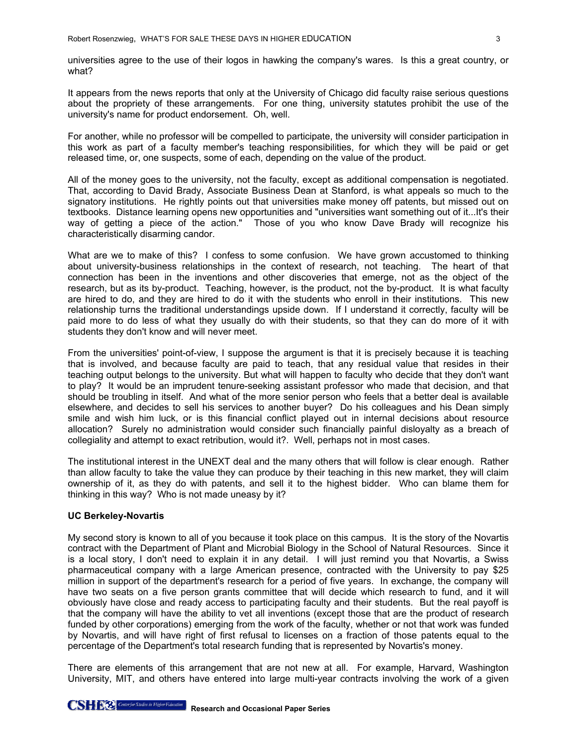universities agree to the use of their logos in hawking the company's wares. Is this a great country, or what?

It appears from the news reports that only at the University of Chicago did faculty raise serious questions about the propriety of these arrangements. For one thing, university statutes prohibit the use of the university's name for product endorsement. Oh, well.

For another, while no professor will be compelled to participate, the university will consider participation in this work as part of a faculty member's teaching responsibilities, for which they will be paid or get released time, or, one suspects, some of each, depending on the value of the product.

All of the money goes to the university, not the faculty, except as additional compensation is negotiated. That, according to David Brady, Associate Business Dean at Stanford, is what appeals so much to the signatory institutions. He rightly points out that universities make money off patents, but missed out on textbooks. Distance learning opens new opportunities and "universities want something out of it...It's their way of getting a piece of the action." Those of you who know Dave Brady will recognize his characteristically disarming candor.

What are we to make of this? I confess to some confusion. We have grown accustomed to thinking about university-business relationships in the context of research, not teaching. The heart of that connection has been in the inventions and other discoveries that emerge, not as the object of the research, but as its by-product. Teaching, however, is the product, not the by-product. It is what faculty are hired to do, and they are hired to do it with the students who enroll in their institutions. This new relationship turns the traditional understandings upside down. If I understand it correctly, faculty will be paid more to do less of what they usually do with their students, so that they can do more of it with students they don't know and will never meet.

From the universities' point-of-view, I suppose the argument is that it is precisely because it is teaching that is involved, and because faculty are paid to teach, that any residual value that resides in their teaching output belongs to the university. But what will happen to faculty who decide that they don't want to play? It would be an imprudent tenure-seeking assistant professor who made that decision, and that should be troubling in itself. And what of the more senior person who feels that a better deal is available elsewhere, and decides to sell his services to another buyer? Do his colleagues and his Dean simply smile and wish him luck, or is this financial conflict played out in internal decisions about resource allocation? Surely no administration would consider such financially painful disloyalty as a breach of collegiality and attempt to exact retribution, would it?. Well, perhaps not in most cases.

The institutional interest in the UNEXT deal and the many others that will follow is clear enough. Rather than allow faculty to take the value they can produce by their teaching in this new market, they will claim ownership of it, as they do with patents, and sell it to the highest bidder. Who can blame them for thinking in this way? Who is not made uneasy by it?

## **UC Berkeley-Novartis**

My second story is known to all of you because it took place on this campus. It is the story of the Novartis contract with the Department of Plant and Microbial Biology in the School of Natural Resources. Since it is a local story, I don't need to explain it in any detail. I will just remind you that Novartis, a Swiss pharmaceutical company with a large American presence, contracted with the University to pay \$25 million in support of the department's research for a period of five years. In exchange, the company will have two seats on a five person grants committee that will decide which research to fund, and it will obviously have close and ready access to participating faculty and their students. But the real payoff is that the company will have the ability to vet all inventions (except those that are the product of research funded by other corporations) emerging from the work of the faculty, whether or not that work was funded by Novartis, and will have right of first refusal to licenses on a fraction of those patents equal to the percentage of the Department's total research funding that is represented by Novartis's money.

There are elements of this arrangement that are not new at all. For example, Harvard, Washington University, MIT, and others have entered into large multi-year contracts involving the work of a given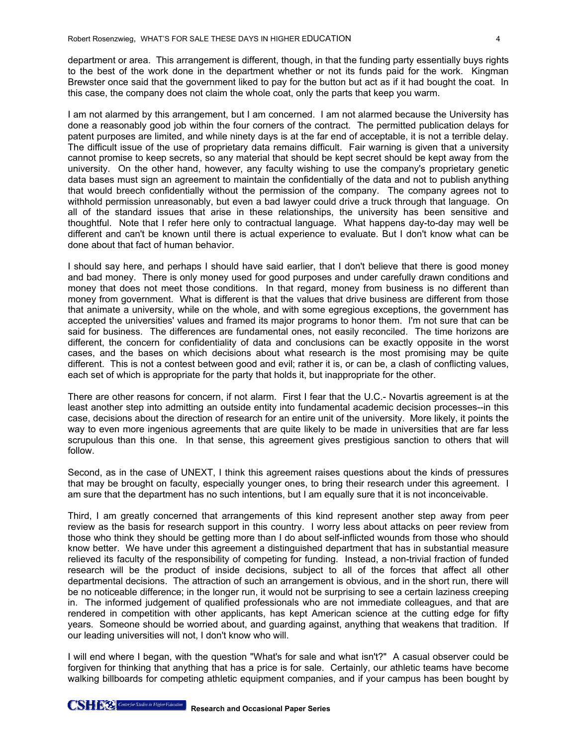department or area. This arrangement is different, though, in that the funding party essentially buys rights to the best of the work done in the department whether or not its funds paid for the work. Kingman Brewster once said that the government liked to pay for the button but act as if it had bought the coat. In this case, the company does not claim the whole coat, only the parts that keep you warm.

I am not alarmed by this arrangement, but I am concerned. I am not alarmed because the University has done a reasonably good job within the four corners of the contract. The permitted publication delays for patent purposes are limited, and while ninety days is at the far end of acceptable, it is not a terrible delay. The difficult issue of the use of proprietary data remains difficult. Fair warning is given that a university cannot promise to keep secrets, so any material that should be kept secret should be kept away from the university. On the other hand, however, any faculty wishing to use the company's proprietary genetic data bases must sign an agreement to maintain the confidentially of the data and not to publish anything that would breech confidentially without the permission of the company. The company agrees not to withhold permission unreasonably, but even a bad lawyer could drive a truck through that language. On all of the standard issues that arise in these relationships, the university has been sensitive and thoughtful. Note that I refer here only to contractual language. What happens day-to-day may well be different and can't be known until there is actual experience to evaluate. But I don't know what can be done about that fact of human behavior.

I should say here, and perhaps I should have said earlier, that I don't believe that there is good monev and bad money. There is only money used for good purposes and under carefully drawn conditions and money that does not meet those conditions. In that regard, money from business is no different than money from government. What is different is that the values that drive business are different from those that animate a university, while on the whole, and with some egregious exceptions, the government has accepted the universities' values and framed its major programs to honor them. I'm not sure that can be said for business. The differences are fundamental ones, not easily reconciled. The time horizons are different, the concern for confidentiality of data and conclusions can be exactly opposite in the worst cases, and the bases on which decisions about what research is the most promising may be quite different. This is not a contest between good and evil; rather it is, or can be, a clash of conflicting values, each set of which is appropriate for the party that holds it, but inappropriate for the other.

There are other reasons for concern, if not alarm. First I fear that the U.C.- Novartis agreement is at the least another step into admitting an outside entity into fundamental academic decision processes--in this case, decisions about the direction of research for an entire unit of the university. More likely, it points the way to even more ingenious agreements that are quite likely to be made in universities that are far less scrupulous than this one. In that sense, this agreement gives prestigious sanction to others that will follow.

Second, as in the case of UNEXT, I think this agreement raises questions about the kinds of pressures that may be brought on faculty, especially younger ones, to bring their research under this agreement. I am sure that the department has no such intentions, but I am equally sure that it is not inconceivable.

Third, I am greatly concerned that arrangements of this kind represent another step away from peer review as the basis for research support in this country. I worry less about attacks on peer review from those who think they should be getting more than I do about self-inflicted wounds from those who should know better. We have under this agreement a distinguished department that has in substantial measure relieved its faculty of the responsibility of competing for funding. Instead, a non-trivial fraction of funded research will be the product of inside decisions, subject to all of the forces that affect all other departmental decisions. The attraction of such an arrangement is obvious, and in the short run, there will be no noticeable difference; in the longer run, it would not be surprising to see a certain laziness creeping in. The informed judgement of qualified professionals who are not immediate colleagues, and that are rendered in competition with other applicants, has kept American science at the cutting edge for fifty years. Someone should be worried about, and guarding against, anything that weakens that tradition. If our leading universities will not, I don't know who will.

I will end where I began, with the question "What's for sale and what isn't?" A casual observer could be forgiven for thinking that anything that has a price is for sale. Certainly, our athletic teams have become walking billboards for competing athletic equipment companies, and if your campus has been bought by